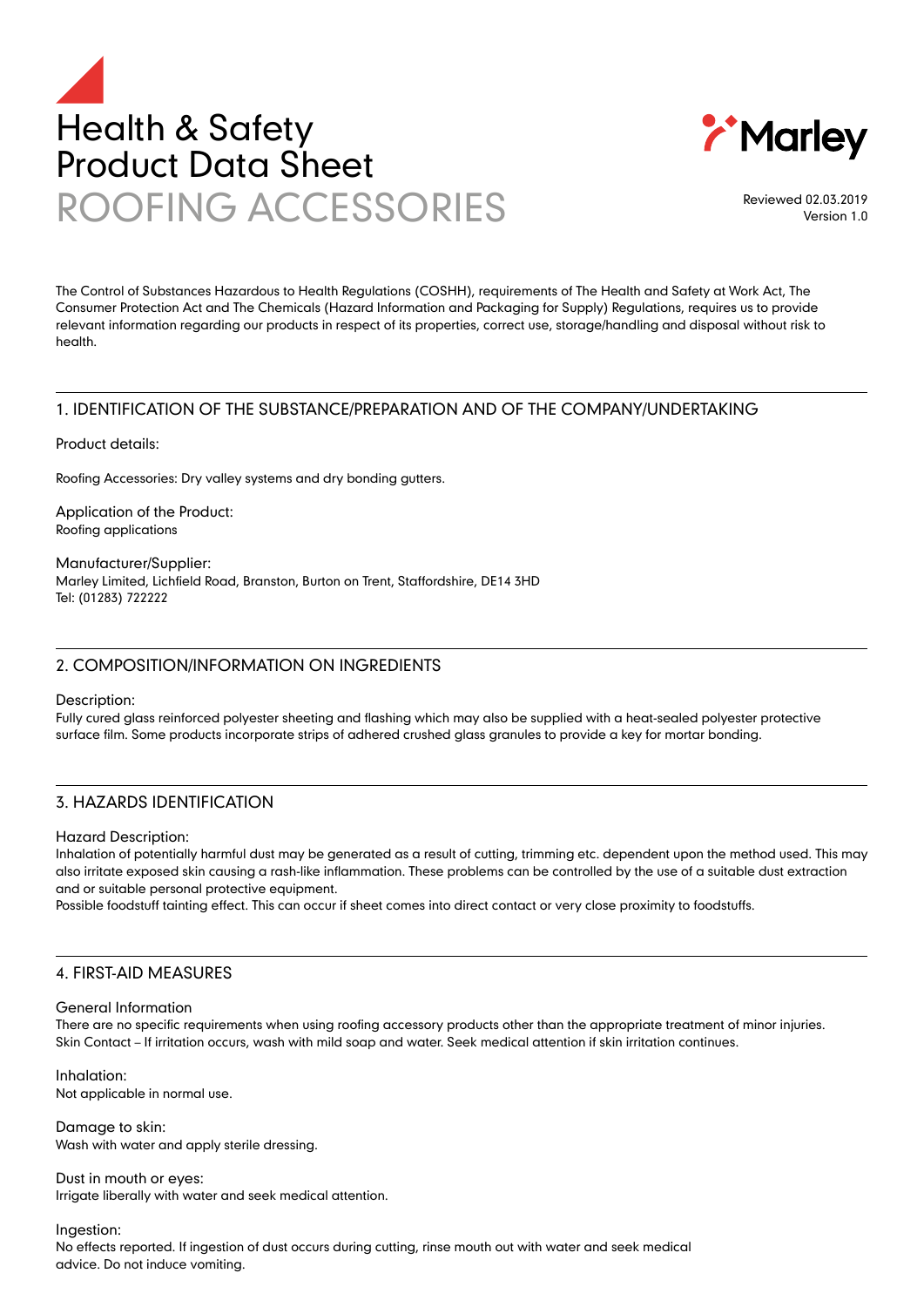



Reviewed 02.03.2019 Version 1.0

The Control of Substances Hazardous to Health Regulations (COSHH), requirements of The Health and Safety at Work Act, The Consumer Protection Act and The Chemicals (Hazard Information and Packaging for Supply) Regulations, requires us to provide relevant information regarding our products in respect of its properties, correct use, storage/handling and disposal without risk to health.

# 1. IDENTIFICATION OF THE SUBSTANCE/PREPARATION AND OF THE COMPANY/UNDERTAKING

Product details:

Roofing Accessories: Dry valley systems and dry bonding gutters.

Application of the Product: Roofing applications

Manufacturer/Supplier: Marley Limited, Lichfield Road, Branston, Burton on Trent, Staffordshire, DE14 3HD Tel: (01283) 722222

# 2. COMPOSITION/INFORMATION ON INGREDIENTS

Description:

Fully cured glass reinforced polyester sheeting and flashing which may also be supplied with a heat-sealed polyester protective surface film. Some products incorporate strips of adhered crushed glass granules to provide a key for mortar bonding.

# 3. HAZARDS IDENTIFICATION

Hazard Description:

Inhalation of potentially harmful dust may be generated as a result of cutting, trimming etc. dependent upon the method used. This may also irritate exposed skin causing a rash-like inflammation. These problems can be controlled by the use of a suitable dust extraction and or suitable personal protective equipment.

Possible foodstuff tainting effect. This can occur if sheet comes into direct contact or very close proximity to foodstuffs.

#### 4. FIRST-AID MEASURES

#### General Information

There are no specific requirements when using roofing accessory products other than the appropriate treatment of minor injuries. Skin Contact – If irritation occurs, wash with mild soap and water. Seek medical attention if skin irritation continues.

Inhalation: Not applicable in normal use.

Damage to skin: Wash with water and apply sterile dressing.

Dust in mouth or eyes: Irrigate liberally with water and seek medical attention.

Ingestion: No effects reported. If ingestion of dust occurs during cutting, rinse mouth out with water and seek medical advice. Do not induce vomiting.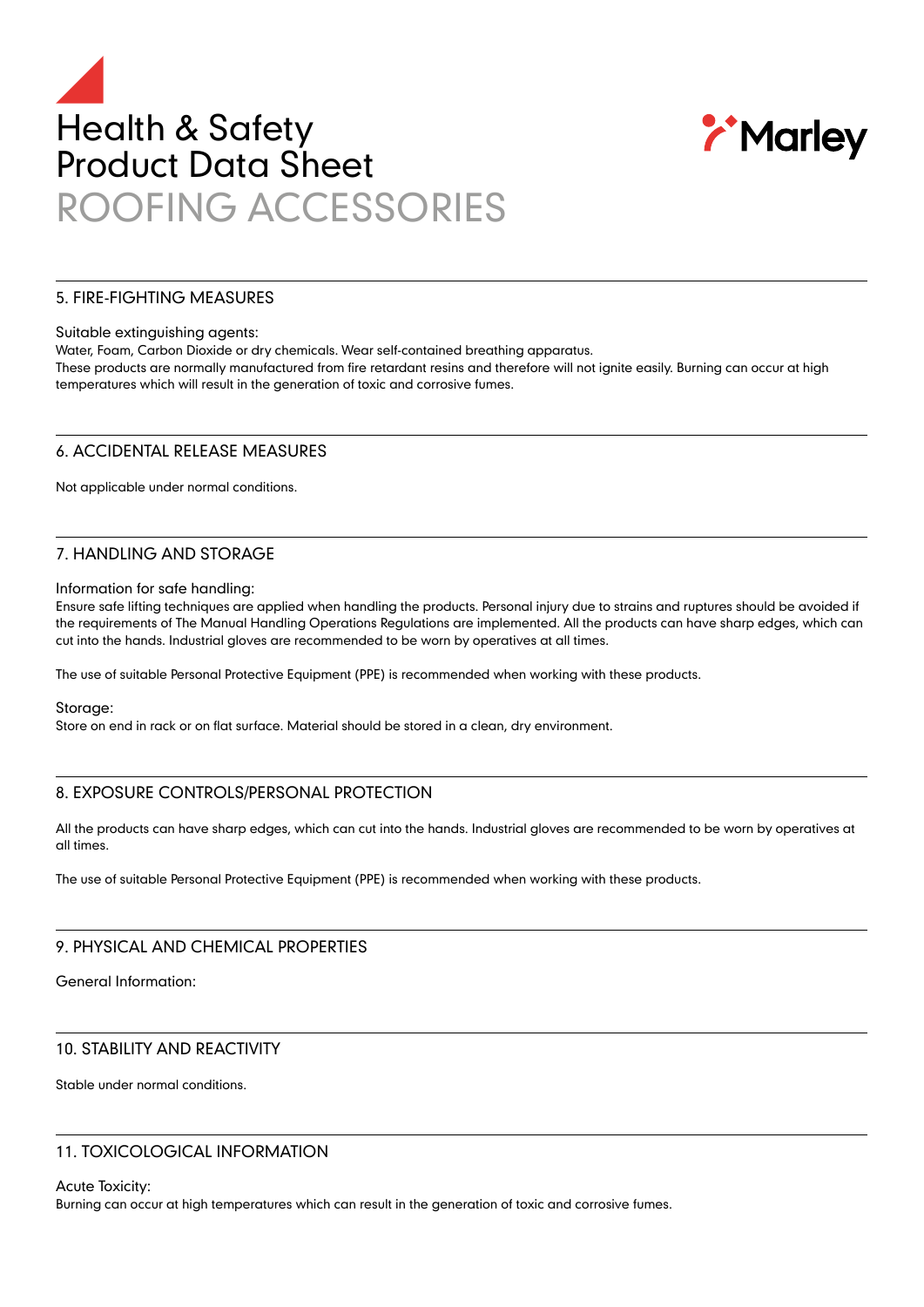# Health & Safety Product Data Sheet ROOFING ACCESSORIES



### 5. FIRE-FIGHTING MEASURES

#### Suitable extinguishing agents:

Water, Foam, Carbon Dioxide or dry chemicals. Wear self-contained breathing apparatus.

These products are normally manufactured from fire retardant resins and therefore will not ignite easily. Burning can occur at high temperatures which will result in the generation of toxic and corrosive fumes.

#### 6. ACCIDENTAL RELEASE MEASURES

Not applicable under normal conditions.

# 7. HANDLING AND STORAGE

Information for safe handling:

Ensure safe lifting techniques are applied when handling the products. Personal injury due to strains and ruptures should be avoided if the requirements of The Manual Handling Operations Regulations are implemented. All the products can have sharp edges, which can cut into the hands. Industrial gloves are recommended to be worn by operatives at all times.

The use of suitable Personal Protective Equipment (PPE) is recommended when working with these products.

Storage:

Store on end in rack or on flat surface. Material should be stored in a clean, dry environment.

# 8. EXPOSURE CONTROLS/PERSONAL PROTECTION

All the products can have sharp edges, which can cut into the hands. Industrial gloves are recommended to be worn by operatives at all times.

The use of suitable Personal Protective Equipment (PPE) is recommended when working with these products.

# 9. PHYSICAL AND CHEMICAL PROPERTIES

General Information:

# 10. STABILITY AND REACTIVITY

Stable under normal conditions.

# 11. TOXICOLOGICAL INFORMATION

Acute Toxicity:

Burning can occur at high temperatures which can result in the generation of toxic and corrosive fumes.